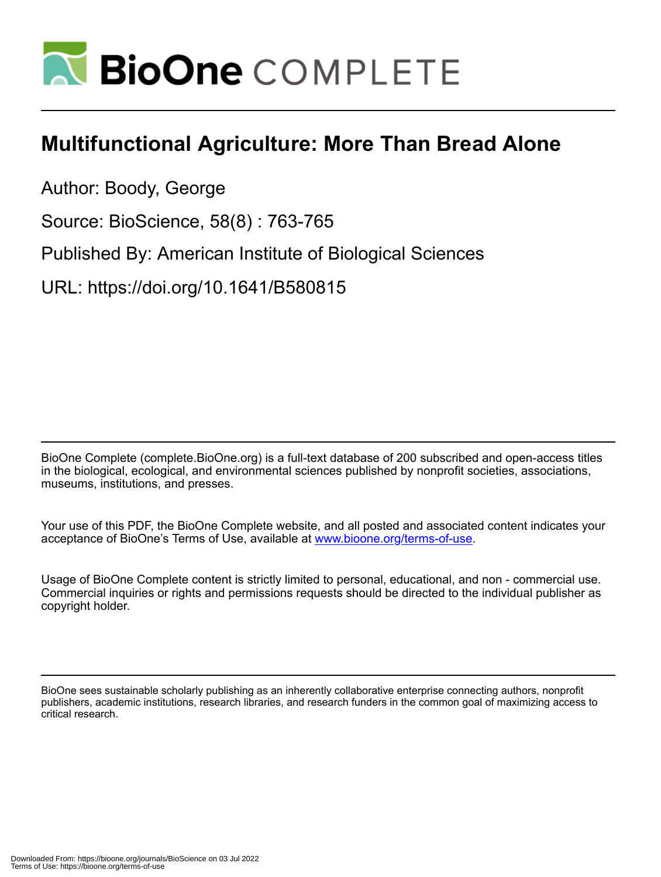

# **Multifunctional Agriculture: More Than Bread Alone**

Author: Boody, George

Source: BioScience, 58(8) : 763-765

Published By: American Institute of Biological Sciences

URL: https://doi.org/10.1641/B580815

BioOne Complete (complete.BioOne.org) is a full-text database of 200 subscribed and open-access titles in the biological, ecological, and environmental sciences published by nonprofit societies, associations, museums, institutions, and presses.

Your use of this PDF, the BioOne Complete website, and all posted and associated content indicates your acceptance of BioOne's Terms of Use, available at www.bioone.org/terms-of-use.

Usage of BioOne Complete content is strictly limited to personal, educational, and non - commercial use. Commercial inquiries or rights and permissions requests should be directed to the individual publisher as copyright holder.

BioOne sees sustainable scholarly publishing as an inherently collaborative enterprise connecting authors, nonprofit publishers, academic institutions, research libraries, and research funders in the common goal of maximizing access to critical research.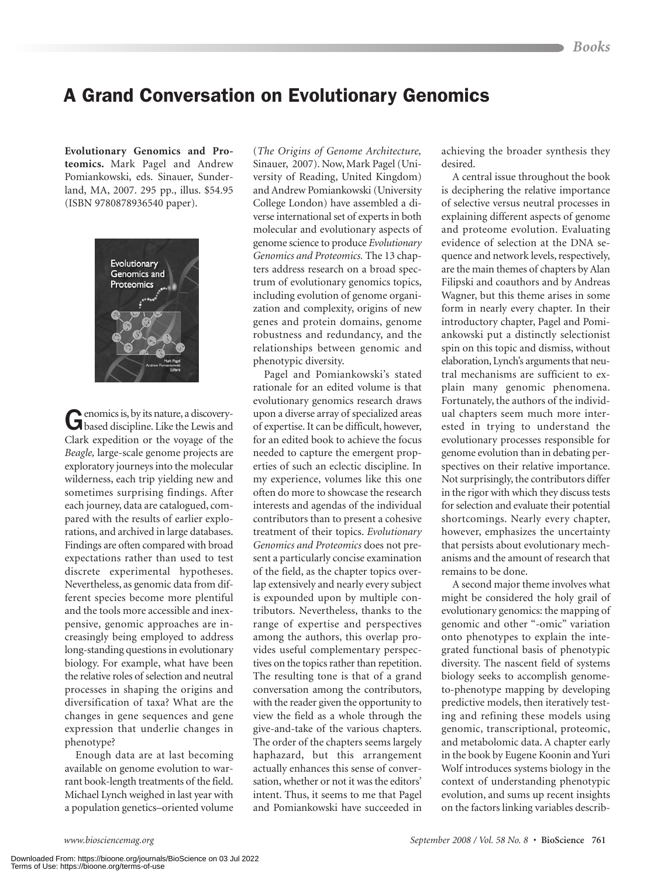# A Grand Conversation on Evolutionary Genomics

**Evolutionary Genomics and Proteomics.** Mark Pagel and Andrew Pomiankowski, eds. Sinauer, Sunderland, MA, 2007. 295 pp., illus. \$54.95 (ISBN 9780878936540 paper).



Genomics is, by its nature, a discovery-based discipline. Like the Lewis and Clark expedition or the voyage of the *Beagle,* large-scale genome projects are exploratory journeys into the molecular wilderness, each trip yielding new and sometimes surprising findings. After each journey, data are catalogued, compared with the results of earlier explorations, and archived in large databases. Findings are often compared with broad expectations rather than used to test discrete experimental hypotheses. Nevertheless, as genomic data from different species become more plentiful and the tools more accessible and inexpensive, genomic approaches are increasingly being employed to address long-standing questions in evolutionary biology. For example, what have been the relative roles of selection and neutral processes in shaping the origins and diversification of taxa? What are the changes in gene sequences and gene expression that underlie changes in phenotype?

Enough data are at last becoming available on genome evolution to warrant book-length treatments of the field. Michael Lynch weighed in last year with a population genetics–oriented volume

(*The Origins of Genome Architecture,* Sinauer, 2007). Now, Mark Pagel (University of Reading, United Kingdom) and Andrew Pomiankowski (University College London) have assembled a diverse international set of experts in both molecular and evolutionary aspects of genome science to produce *Evolutionary Genomics and Proteomics.* The 13 chapters address research on a broad spectrum of evolutionary genomics topics, including evolution of genome organization and complexity, origins of new genes and protein domains, genome robustness and redundancy, and the relationships between genomic and phenotypic diversity.

Pagel and Pomiankowski's stated rationale for an edited volume is that evolutionary genomics research draws upon a diverse array of specialized areas of expertise. It can be difficult, however, for an edited book to achieve the focus needed to capture the emergent properties of such an eclectic discipline. In my experience, volumes like this one often do more to showcase the research interests and agendas of the individual contributors than to present a cohesive treatment of their topics. *Evolutionary Genomics and Proteomics* does not present a particularly concise examination of the field, as the chapter topics overlap extensively and nearly every subject is expounded upon by multiple contributors. Nevertheless, thanks to the range of expertise and perspectives among the authors, this overlap provides useful complementary perspectives on the topics rather than repetition. The resulting tone is that of a grand conversation among the contributors, with the reader given the opportunity to view the field as a whole through the give-and-take of the various chapters. The order of the chapters seems largely haphazard, but this arrangement actually enhances this sense of conversation, whether or not it was the editors' intent. Thus, it seems to me that Pagel and Pomiankowski have succeeded in

achieving the broader synthesis they desired.

A central issue throughout the book is deciphering the relative importance of selective versus neutral processes in explaining different aspects of genome and proteome evolution. Evaluating evidence of selection at the DNA sequence and network levels, respectively, are the main themes of chapters by Alan Filipski and coauthors and by Andreas Wagner, but this theme arises in some form in nearly every chapter. In their introductory chapter, Pagel and Pomiankowski put a distinctly selectionist spin on this topic and dismiss, without elaboration, Lynch's arguments that neutral mechanisms are sufficient to explain many genomic phenomena. Fortunately, the authors of the individual chapters seem much more interested in trying to understand the evolutionary processes responsible for genome evolution than in debating perspectives on their relative importance. Not surprisingly, the contributors differ in the rigor with which they discuss tests for selection and evaluate their potential shortcomings. Nearly every chapter, however, emphasizes the uncertainty that persists about evolutionary mechanisms and the amount of research that remains to be done.

A second major theme involves what might be considered the holy grail of evolutionary genomics: the mapping of genomic and other "-omic" variation onto phenotypes to explain the integrated functional basis of phenotypic diversity. The nascent field of systems biology seeks to accomplish genometo-phenotype mapping by developing predictive models, then iteratively testing and refining these models using genomic, transcriptional, proteomic, and metabolomic data. A chapter early in the book by Eugene Koonin and Yuri Wolf introduces systems biology in the context of understanding phenotypic evolution, and sums up recent insights on the factors linking variables describ-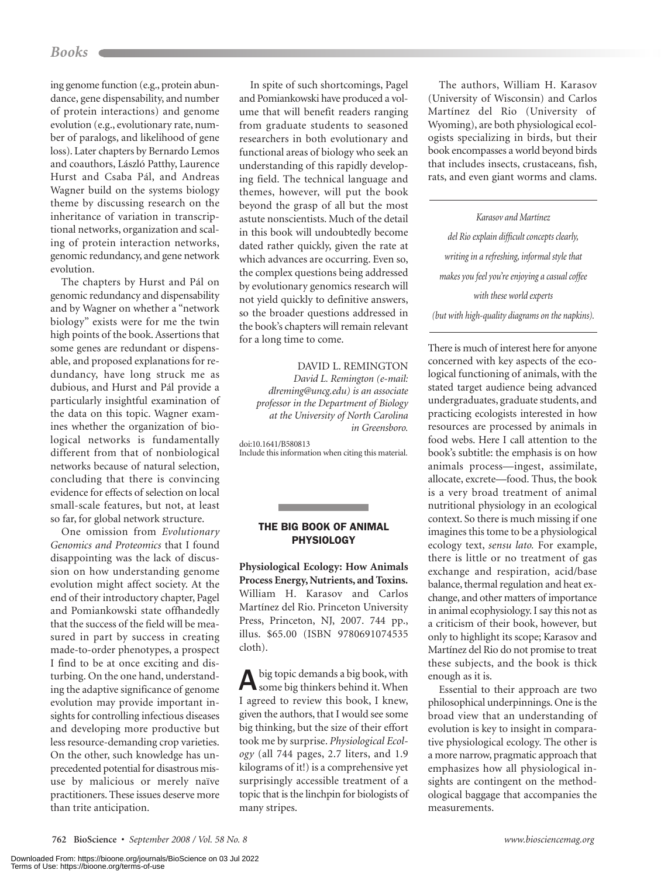# *Books*

ing genome function (e.g., protein abundance, gene dispensability, and number of protein interactions) and genome evolution (e.g., evolutionary rate, number of paralogs, and likelihood of gene loss). Later chapters by Bernardo Lemos and coauthors, László Patthy, Laurence Hurst and Csaba Pál, and Andreas Wagner build on the systems biology theme by discussing research on the inheritance of variation in transcriptional networks, organization and scaling of protein interaction networks, genomic redundancy, and gene network evolution.

The chapters by Hurst and Pál on genomic redundancy and dispensability and by Wagner on whether a "network biology" exists were for me the twin high points of the book. Assertions that some genes are redundant or dispensable, and proposed explanations for redundancy, have long struck me as dubious, and Hurst and Pál provide a particularly insightful examination of the data on this topic. Wagner examines whether the organization of biological networks is fundamentally different from that of nonbiological networks because of natural selection, concluding that there is convincing evidence for effects of selection on local small-scale features, but not, at least so far, for global network structure.

One omission from *Evolutionary Genomics and Proteomics* that I found disappointing was the lack of discussion on how understanding genome evolution might affect society. At the end of their introductory chapter, Pagel and Pomiankowski state offhandedly that the success of the field will be measured in part by success in creating made-to-order phenotypes, a prospect I find to be at once exciting and disturbing. On the one hand, understanding the adaptive significance of genome evolution may provide important insights for controlling infectious diseases and developing more productive but less resource-demanding crop varieties. On the other, such knowledge has unprecedented potential for disastrous misuse by malicious or merely naïve practitioners. These issues deserve more than trite anticipation.

In spite of such shortcomings, Pagel and Pomiankowski have produced a volume that will benefit readers ranging from graduate students to seasoned researchers in both evolutionary and functional areas of biology who seek an understanding of this rapidly developing field. The technical language and themes, however, will put the book beyond the grasp of all but the most astute nonscientists. Much of the detail in this book will undoubtedly become dated rather quickly, given the rate at which advances are occurring. Even so, the complex questions being addressed by evolutionary genomics research will not yield quickly to definitive answers, so the broader questions addressed in the book's chapters will remain relevant for a long time to come.

DAVID L. REMINGTON *David L. Remington (e-mail: dlreming@uncg.edu) is an associate professor in the Department of Biology at the University of North Carolina in Greensboro.*

doi:10.1641/B580813 Include this information when citing this material.

#### THE BIG BOOK OF ANIMAL **PHYSIOLOGY**

**Physiological Ecology: How Animals Process Energy, Nutrients, and Toxins.** William H. Karasov and Carlos Martínez del Rio. Princeton University Press, Princeton, NJ, 2007. 744 pp., illus. \$65.00 (ISBN 9780691074535 cloth).

Abig topic demands a big book, with some big thinkers behind it. When I agreed to review this book, I knew, given the authors, that I would see some big thinking, but the size of their effort took me by surprise. *Physiological Ecology* (all 744 pages, 2.7 liters, and 1.9 kilograms of it!) is a comprehensive yet surprisingly accessible treatment of a topic that is the linchpin for biologists of many stripes.

The authors, William H. Karasov (University of Wisconsin) and Carlos Martínez del Rio (University of Wyoming), are both physiological ecologists specializing in birds, but their book encompasses a world beyond birds that includes insects, crustaceans, fish, rats, and even giant worms and clams.

*Karasov and Martínez del Rio explain difficult concepts clearly, writing in a refreshing, informal style that makes you feel you're enjoying a casual coffee with these world experts (but with high-quality diagrams on the napkins).* 

There is much of interest here for anyone concerned with key aspects of the ecological functioning of animals, with the stated target audience being advanced undergraduates, graduate students, and practicing ecologists interested in how resources are processed by animals in food webs. Here I call attention to the book's subtitle: the emphasis is on how animals process—ingest, assimilate, allocate, excrete—food. Thus, the book is a very broad treatment of animal nutritional physiology in an ecological context. So there is much missing if one imagines this tome to be a physiological ecology text, *sensu lato.* For example, there is little or no treatment of gas exchange and respiration, acid/base balance, thermal regulation and heat exchange, and other matters of importance in animal ecophysiology. I say this not as a criticism of their book, however, but only to highlight its scope; Karasov and Martínez del Rio do not promise to treat these subjects, and the book is thick enough as it is.

Essential to their approach are two philosophical underpinnings. One is the broad view that an understanding of evolution is key to insight in comparative physiological ecology. The other is a more narrow, pragmatic approach that emphasizes how all physiological insights are contingent on the methodological baggage that accompanies the measurements.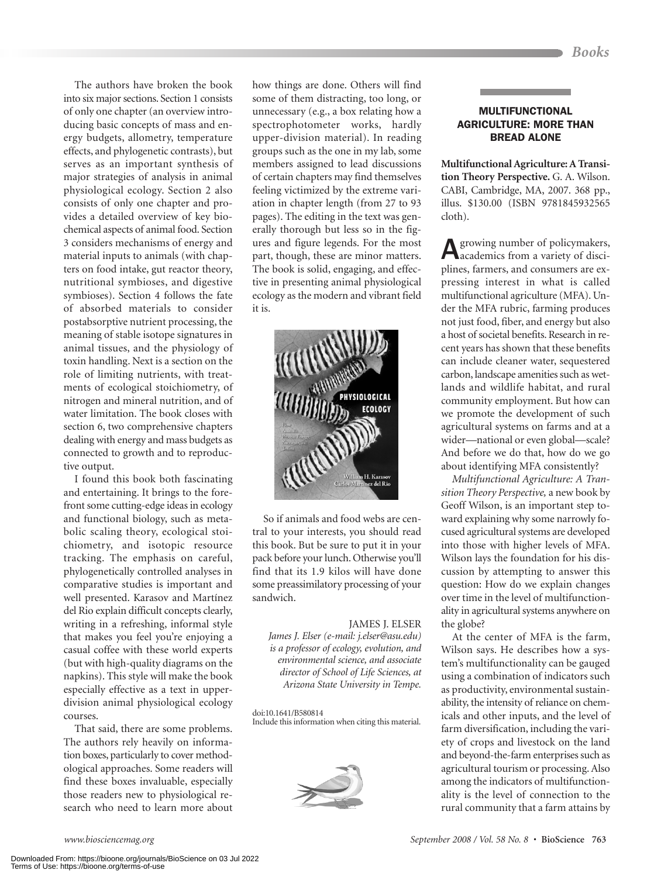The authors have broken the book into six major sections. Section 1 consists of only one chapter (an overview introducing basic concepts of mass and energy budgets, allometry, temperature effects, and phylogenetic contrasts), but serves as an important synthesis of major strategies of analysis in animal physiological ecology. Section 2 also consists of only one chapter and provides a detailed overview of key biochemical aspects of animal food. Section 3 considers mechanisms of energy and material inputs to animals (with chapters on food intake, gut reactor theory, nutritional symbioses, and digestive symbioses). Section 4 follows the fate of absorbed materials to consider postabsorptive nutrient processing, the meaning of stable isotope signatures in animal tissues, and the physiology of toxin handling. Next is a section on the role of limiting nutrients, with treatments of ecological stoichiometry, of nitrogen and mineral nutrition, and of water limitation. The book closes with section 6, two comprehensive chapters dealing with energy and mass budgets as connected to growth and to reproductive output.

I found this book both fascinating and entertaining. It brings to the forefront some cutting-edge ideas in ecology and functional biology, such as metabolic scaling theory, ecological stoichiometry, and isotopic resource tracking. The emphasis on careful, phylogenetically controlled analyses in comparative studies is important and well presented. Karasov and Martínez del Rio explain difficult concepts clearly, writing in a refreshing, informal style that makes you feel you're enjoying a casual coffee with these world experts (but with high-quality diagrams on the napkins). This style will make the book especially effective as a text in upperdivision animal physiological ecology courses.

That said, there are some problems. The authors rely heavily on information boxes, particularly to cover methodological approaches. Some readers will find these boxes invaluable, especially those readers new to physiological research who need to learn more about

how things are done. Others will find some of them distracting, too long, or unnecessary (e.g., a box relating how a spectrophotometer works, hardly upper-division material). In reading groups such as the one in my lab, some members assigned to lead discussions of certain chapters may find themselves feeling victimized by the extreme variation in chapter length (from 27 to 93 pages). The editing in the text was generally thorough but less so in the figures and figure legends. For the most part, though, these are minor matters. The book is solid, engaging, and effective in presenting animal physiological ecology as the modern and vibrant field it is.



So if animals and food webs are central to your interests, you should read this book. But be sure to put it in your pack before your lunch. Otherwise you'll find that its 1.9 kilos will have done some preassimilatory processing of your sandwich.

#### JAMES J. ELSER

*James J. Elser (e-mail: j.elser@asu.edu) is a professor of ecology, evolution, and environmental science, and associate director of School of Life Sciences, at Arizona State University in Tempe.*

doi:10.1641/B580814 Include this information when citing this material.



#### MULTIFUNCTIONAL AGRICULTURE: MORE THAN BREAD ALONE

**Multifunctional Agriculture: A Transition Theory Perspective.** G. A. Wilson. CABI, Cambridge, MA, 2007. 368 pp., illus. \$130.00 (ISBN 9781845932565 cloth).

Agrowing number of policymakers, academics from a variety of disciplines, farmers, and consumers are expressing interest in what is called multifunctional agriculture (MFA). Under the MFA rubric, farming produces not just food, fiber, and energy but also a host of societal benefits. Research in recent years has shown that these benefits can include cleaner water, sequestered carbon, landscape amenities such as wetlands and wildlife habitat, and rural community employment. But how can we promote the development of such agricultural systems on farms and at a wider—national or even global—scale? And before we do that, how do we go about identifying MFA consistently?

*Multifunctional Agriculture: A Transition Theory Perspective,* a new book by Geoff Wilson, is an important step toward explaining why some narrowly focused agricultural systems are developed into those with higher levels of MFA. Wilson lays the foundation for his discussion by attempting to answer this question: How do we explain changes over time in the level of multifunctionality in agricultural systems anywhere on the globe?

At the center of MFA is the farm, Wilson says. He describes how a system's multifunctionality can be gauged using a combination of indicators such as productivity, environmental sustainability, the intensity of reliance on chemicals and other inputs, and the level of farm diversification, including the variety of crops and livestock on the land and beyond-the-farm enterprises such as agricultural tourism or processing. Also among the indicators of multifunctionality is the level of connection to the rural community that a farm attains by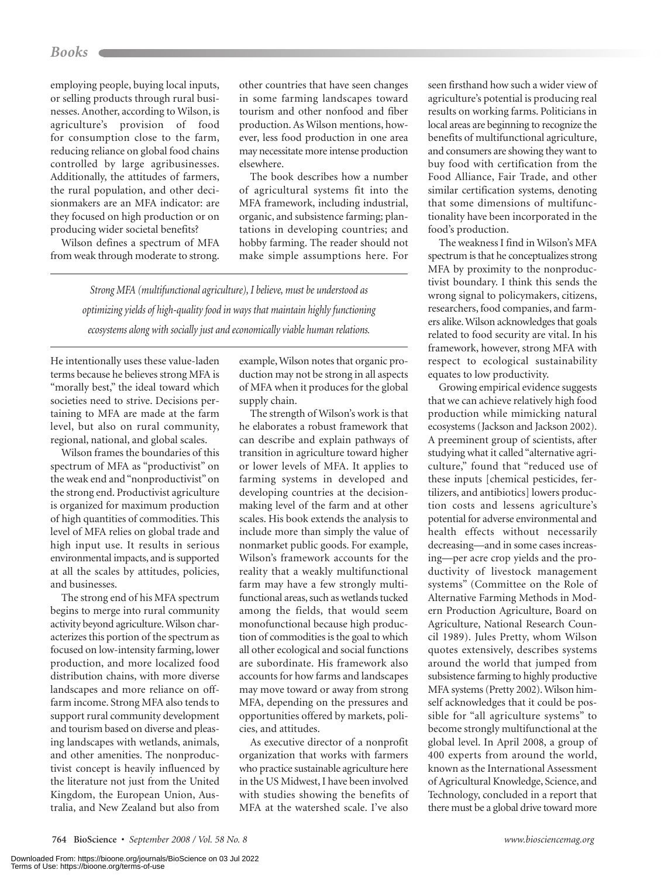# *Books*

employing people, buying local inputs, or selling products through rural businesses. Another, according to Wilson, is agriculture's provision of food for consumption close to the farm, reducing reliance on global food chains controlled by large agribusinesses. Additionally, the attitudes of farmers, the rural population, and other decisionmakers are an MFA indicator: are they focused on high production or on producing wider societal benefits?

Wilson defines a spectrum of MFA from weak through moderate to strong.

other countries that have seen changes in some farming landscapes toward tourism and other nonfood and fiber production. As Wilson mentions, however, less food production in one area may necessitate more intense production elsewhere.

The book describes how a number of agricultural systems fit into the MFA framework, including industrial, organic, and subsistence farming; plantations in developing countries; and hobby farming. The reader should not make simple assumptions here. For

*Strong MFA (multifunctional agriculture), I believe, must be understood as optimizing yields of high-quality food in ways that maintain highly functioning ecosystems along with socially just and economically viable human relations.*

He intentionally uses these value-laden terms because he believes strong MFA is "morally best," the ideal toward which societies need to strive. Decisions pertaining to MFA are made at the farm level, but also on rural community, regional, national, and global scales.

Wilson frames the boundaries of this spectrum of MFA as "productivist" on the weak end and "nonproductivist" on the strong end. Productivist agriculture is organized for maximum production of high quantities of commodities. This level of MFA relies on global trade and high input use. It results in serious environmental impacts, and is supported at all the scales by attitudes, policies, and businesses.

The strong end of his MFA spectrum begins to merge into rural community activity beyond agriculture. Wilson characterizes this portion of the spectrum as focused on low-intensity farming, lower production, and more localized food distribution chains, with more diverse landscapes and more reliance on offfarm income. Strong MFA also tends to support rural community development and tourism based on diverse and pleasing landscapes with wetlands, animals, and other amenities. The nonproductivist concept is heavily influenced by the literature not just from the United Kingdom, the European Union, Australia, and New Zealand but also from

example, Wilson notes that organic production may not be strong in all aspects of MFA when it produces for the global supply chain.

The strength of Wilson's work is that he elaborates a robust framework that can describe and explain pathways of transition in agriculture toward higher or lower levels of MFA. It applies to farming systems in developed and developing countries at the decisionmaking level of the farm and at other scales. His book extends the analysis to include more than simply the value of nonmarket public goods. For example, Wilson's framework accounts for the reality that a weakly multifunctional farm may have a few strongly multifunctional areas, such as wetlands tucked among the fields, that would seem monofunctional because high production of commodities is the goal to which all other ecological and social functions are subordinate. His framework also accounts for how farms and landscapes may move toward or away from strong MFA, depending on the pressures and opportunities offered by markets, policies, and attitudes.

As executive director of a nonprofit organization that works with farmers who practice sustainable agriculture here in the US Midwest, I have been involved with studies showing the benefits of MFA at the watershed scale. I've also

seen firsthand how such a wider view of agriculture's potential is producing real results on working farms. Politicians in local areas are beginning to recognize the benefits of multifunctional agriculture, and consumers are showing they want to buy food with certification from the Food Alliance, Fair Trade, and other similar certification systems, denoting that some dimensions of multifunctionality have been incorporated in the food's production.

The weakness I find in Wilson's MFA spectrum is that he conceptualizes strong MFA by proximity to the nonproductivist boundary. I think this sends the wrong signal to policymakers, citizens, researchers, food companies, and farmers alike. Wilson acknowledges that goals related to food security are vital. In his framework, however, strong MFA with respect to ecological sustainability equates to low productivity.

Growing empirical evidence suggests that we can achieve relatively high food production while mimicking natural ecosystems (Jackson and Jackson 2002). A preeminent group of scientists, after studying what it called "alternative agriculture," found that "reduced use of these inputs [chemical pesticides, fertilizers, and antibiotics] lowers production costs and lessens agriculture's potential for adverse environmental and health effects without necessarily decreasing—and in some cases increasing—per acre crop yields and the productivity of livestock management systems" (Committee on the Role of Alternative Farming Methods in Modern Production Agriculture, Board on Agriculture, National Research Council 1989). Jules Pretty, whom Wilson quotes extensively, describes systems around the world that jumped from subsistence farming to highly productive MFA systems (Pretty 2002). Wilson himself acknowledges that it could be possible for "all agriculture systems" to become strongly multifunctional at the global level. In April 2008, a group of 400 experts from around the world, known as the International Assessment of Agricultural Knowledge, Science, and Technology, concluded in a report that there must be a global drive toward more